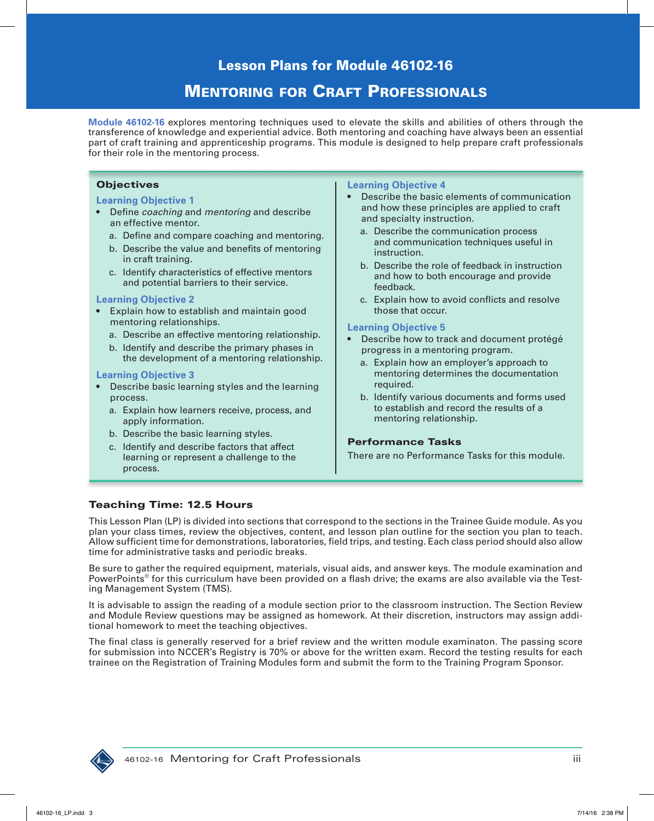# **MENTORING FOR CRAFT PROFESSIONALS**

**Module 46102-16** explores mentoring techniques used to elevate the skills and abilities of others through the transference of knowledge and experiential advice. Both mentoring and coaching have always been an essential part of craft training and apprenticeship programs. This module is designed to help prepare craft professionals for their role in the mentoring process.

## **Objectives**

### **Learning Objective 1**

- Define *coaching* and *mentoring* and describe an effective mentor.
	- a. Define and compare coaching and mentoring.
	- b. Describe the value and benefits of mentoring in craft training.
	- c. Identify characteristics of effective mentors and potential barriers to their service.

#### **Learning Objective 2**

- Explain how to establish and maintain good mentoring relationships.
	- a. Describe an effective mentoring relationship.
	- b. Identify and describe the primary phases in the development of a mentoring relationship.

#### **Learning Objective 3**

- Describe basic learning styles and the learning process.
	- a. Explain how learners receive, process, and apply information.
	- b. Describe the basic learning styles.
	- c. Identify and describe factors that affect learning or represent a challenge to the process.

#### **Learning Objective 4**

- Describe the basic elements of communication and how these principles are applied to craft and specialty instruction.
	- a. Describe the communication process and communication techniques useful in instruction.
	- b. Describe the role of feedback in instruction and how to both encourage and provide feedback.
	- c. Explain how to avoid conflicts and resolve those that occur.

#### **Learning Objective 5**

- Describe how to track and document protégé progress in a mentoring program.
	- a. Explain how an employer's approach to mentoring determines the documentation required.
	- b. Identify various documents and forms used to establish and record the results of a mentoring relationship.

### Performance Tasks

There are no Performance Tasks for this module.

## Teaching Time: 12.5 Hours

This Lesson Plan (LP) is divided into sections that correspond to the sections in the Trainee Guide module. As you plan your class times, review the objectives, content, and lesson plan outline for the section you plan to teach. Allow sufficient time for demonstrations, laboratories, field trips, and testing. Each class period should also allow time for administrative tasks and periodic breaks.

Be sure to gather the required equipment, materials, visual aids, and answer keys. The module examination and PowerPoints<sup>®</sup> for this curriculum have been provided on a flash drive; the exams are also available via the Testing Management System (TMS).

It is advisable to assign the reading of a module section prior to the classroom instruction. The Section Review and Module Review questions may be assigned as homework. At their discretion, instructors may assign additional homework to meet the teaching objectives.

The final class is generally reserved for a brief review and the written module examinaton. The passing score for submission into NCCER's Registry is 70% or above for the written exam. Record the testing results for each trainee on the Registration of Training Modules form and submit the form to the Training Program Sponsor.

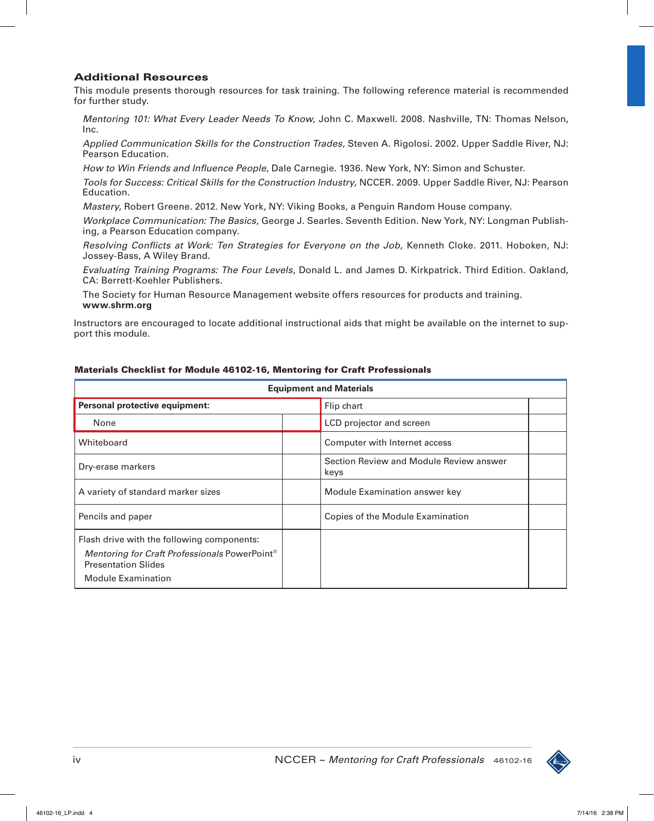## Additional Resources

This module presents thorough resources for task training. The following reference material is recommended for further study.

*Mentoring 101: What Every Leader Needs To Know*, John C. Maxwell. 2008. Nashville, TN: Thomas Nelson, Inc.

*Applied Communication Skills for the Construction Trades*, Steven A. Rigolosi. 2002. Upper Saddle River, NJ: Pearson Education.

*How to Win Friends and Influence People*, Dale Carnegie. 1936. New York, NY: Simon and Schuster.

*Tools for Success: Critical Skills for the Construction Industry*, NCCER. 2009. Upper Saddle River, NJ: Pearson Education.

*Mastery*, Robert Greene. 2012. New York, NY: Viking Books, a Penguin Random House company.

*Workplace Communication: The Basics*, George J. Searles. Seventh Edition. New York, NY: Longman Publishing, a Pearson Education company.

*Resolving Conflicts at Work: Ten Strategies for Everyone on the Job*, Kenneth Cloke. 2011. Hoboken, NJ: Jossey-Bass, A Wiley Brand.

*Evaluating Training Programs: The Four Levels*, Donald L. and James D. Kirkpatrick. Third Edition. Oakland, CA: Berrett-Koehler Publishers.

The Society for Human Resource Management website offers resources for products and training. **www.shrm.org**

Instructors are encouraged to locate additional instructional aids that might be available on the internet to support this module.

| <b>Equipment and Materials</b>                                                                                                                                     |  |                                                 |  |
|--------------------------------------------------------------------------------------------------------------------------------------------------------------------|--|-------------------------------------------------|--|
| Personal protective equipment:                                                                                                                                     |  | Flip chart                                      |  |
| None                                                                                                                                                               |  | LCD projector and screen                        |  |
| Whiteboard                                                                                                                                                         |  | Computer with Internet access                   |  |
| Dry-erase markers                                                                                                                                                  |  | Section Review and Module Review answer<br>keys |  |
| A variety of standard marker sizes                                                                                                                                 |  | Module Examination answer key                   |  |
| Pencils and paper                                                                                                                                                  |  | Copies of the Module Examination                |  |
| Flash drive with the following components:<br>Mentoring for Craft Professionals PowerPoint <sup>®</sup><br><b>Presentation Slides</b><br><b>Module Examination</b> |  |                                                 |  |

### Materials Checklist for Module 46102-16, Mentoring for Craft Professionals